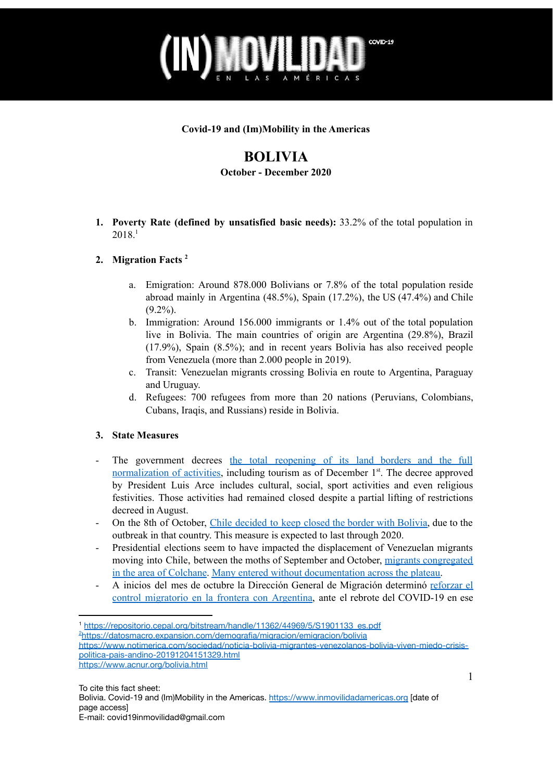

#### **Covid-19 and (Im)Mobility in the Americas**

# **BOLIVIA**

**October - December 2020**

**1. Poverty Rate (defined by unsatisfied basic needs):** 33.2% of the total population in 2018. 1

## **2. Migration Facts 2**

- a. Emigration: Around 878.000 Bolivians or 7.8% of the total population reside abroad mainly in Argentina (48.5%), Spain (17.2%), the US (47.4%) and Chile  $(9.2\%)$ .
- b. Immigration: Around 156.000 immigrants or 1.4% out of the total population live in Bolivia. The main countries of origin are Argentina (29.8%), Brazil (17.9%), Spain (8.5%); and in recent years Bolivia has also received people from Venezuela (more than 2.000 people in 2019).
- c. Transit: Venezuelan migrants crossing Bolivia en route to Argentina, Paraguay and Uruguay.
- d. Refugees: 700 refugees from more than 20 nations (Peruvians, Colombians, Cubans, Iraqis, and Russians) reside in Bolivia.

## **3. State Measures**

- The government decrees the total [reopening](https://www.jornada.com.mx/ultimas/mundo/2020/11/30/bolivia-abre-fronteras-y-levanta-restricciones-ante-caida-de-contagios-5961.html) of its land borders and the full [normalization](https://www.jornada.com.mx/ultimas/mundo/2020/11/30/bolivia-abre-fronteras-y-levanta-restricciones-ante-caida-de-contagios-5961.html) of activities, including tourism as of December 1<sup>st</sup>. The decree approved by President Luis Arce includes cultural, social, sport activities and even religious festivities. Those activities had remained closed despite a partial lifting of restrictions decreed in August.
- On the 8th of October, Chile [decided](https://eju.tv/2020/10/chile-decide-mantener-cerradas-las-fronteras-con-bolivia-hasta-fin-de-ano/) to keep closed the border with Bolivia, due to the outbreak in that country. This measure is expected to last through 2020.
- Presidential elections seem to have impacted the displacement of Venezuelan migrants moving into Chile, between the moths of September and October, migrants [congregated](https://eju.tv/2020/10/presencia-de-venezolanos-en-frontera-con-bolivia-genera-criticas/) in the area of [Colchane.](https://eju.tv/2020/10/presencia-de-venezolanos-en-frontera-con-bolivia-genera-criticas/) Many entered without [documentation](https://www.eldiario.es/desalambre/proxima-crisis-humanitaria-frontera-bolivia-chile-miles-personas-cruzan-altiplano-pie_1_7294479.html) across the plateau.
- A inicios del mes de octubre la Dirección General de Migración determinó [reforzar](https://www.bolivia.com/actualidad/nacionales/migracion-refuerza-control-fronterizo-ante-rebrote-del-covid-19-en-argentina-282908) el control [migratorio](https://www.bolivia.com/actualidad/nacionales/migracion-refuerza-control-fronterizo-ante-rebrote-del-covid-19-en-argentina-282908) en la frontera con Argentina, ante el rebrote del COVID-19 en ese

<sup>2</sup><https://datosmacro.expansion.com/demografia/migracion/emigracion/bolivia>

<sup>1</sup> [https://repositorio.cepal.org/bitstream/handle/11362/44969/5/S1901133\\_es.pdf](https://repositorio.cepal.org/bitstream/handle/11362/44969/5/S1901133_es.pdf)

[https://www.notimerica.com/sociedad/noticia-bolivia-migrantes-venezolanos-bolivia-viven-miedo-crisis](https://www.notimerica.com/sociedad/noticia-bolivia-migrantes-venezolanos-bolivia-viven-miedo-crisis-politica-pais-andino-20191204151329.html)[politica-pais-andino-20191204151329.html](https://www.notimerica.com/sociedad/noticia-bolivia-migrantes-venezolanos-bolivia-viven-miedo-crisis-politica-pais-andino-20191204151329.html)

<https://www.acnur.org/bolivia.html>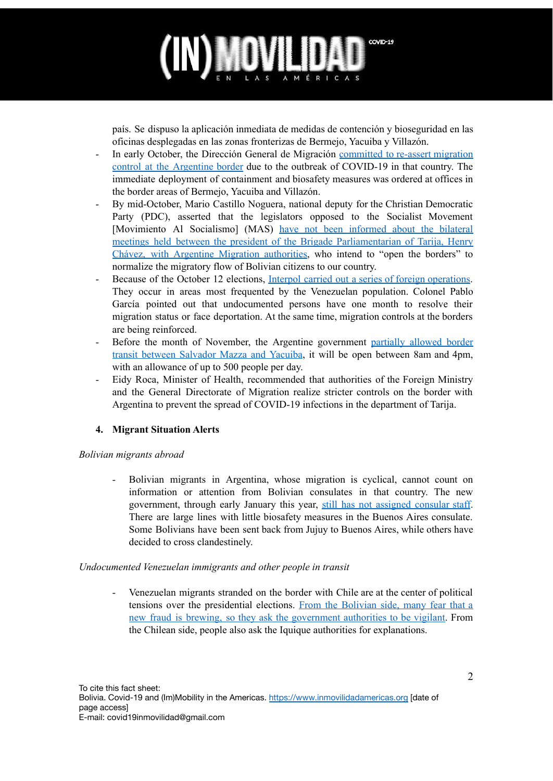

país. Se dispuso la aplicación inmediata de medidas de contención y bioseguridad en las oficinas desplegadas en las zonas fronterizas de Bermejo, Yacuiba y Villazón.

- In early October, the Dirección General de Migración [committed](https://www.bolivia.com/actualidad/nacionales/migracion-refuerza-control-fronterizo-ante-rebrote-del-covid-19-en-argentina-282908) to re-assert migration control at the [Argentine](https://www.bolivia.com/actualidad/nacionales/migracion-refuerza-control-fronterizo-ante-rebrote-del-covid-19-en-argentina-282908) border due to the outbreak of COVID-19 in that country. The immediate deployment of containment and biosafety measures was ordered at offices in the border areas of Bermejo, Yacuiba and Villazón.
- By mid-October, Mario Castillo Noguera, national deputy for the Christian Democratic Party (PDC), asserted that the legislators opposed to the Socialist Movement [Movimiento Al Socialismo] (MAS) have not been [informed](https://www.elperiodico-digital.com/2020/10/12/parlamentarios-desconocen-sobre-reuniones-para-apertura-de-fronteras/) about the bilateral meetings held between the president of the Brigade [Parliamentarian](https://www.elperiodico-digital.com/2020/10/12/parlamentarios-desconocen-sobre-reuniones-para-apertura-de-fronteras/) of Tarija, Henry Chávez, with Argentine Migration [authorities](https://www.elperiodico-digital.com/2020/10/12/parlamentarios-desconocen-sobre-reuniones-para-apertura-de-fronteras/), who intend to "open the borders" to normalize the migratory flow of Bolivian citizens to our country.
- Because of the October 12 elections, Interpol carried out a series of foreign [operations.](https://www.paginasiete.bo/seguridad/2020/10/15/elecciones-interpol-realiza-operativos-de-control-de-extranjeros-en-el-pais-271616.html) They occur in areas most frequented by the Venezuelan population. Colonel Pablo García pointed out that undocumented persons have one month to resolve their migration status or face deportation. At the same time, migration controls at the borders are being reinforced.
- Before the month of November, the Argentine government [partially](https://www.eltribuno.com/jujuy/nota/2020-11-14-10-38-0-migraciones-habilito-parcialmente-el-paso-entre-salvador-mazza-y-yacuiba) allowed border transit between [Salvador](https://www.eltribuno.com/jujuy/nota/2020-11-14-10-38-0-migraciones-habilito-parcialmente-el-paso-entre-salvador-mazza-y-yacuiba) Mazza and Yacuiba, it will be open between 8am and 4pm, with an allowance of up to 500 people per day.
- Eidy Roca, Minister of Health, recommended that authorities of the Foreign Ministry and the General Directorate of Migration realize stricter controls on the border with Argentina to prevent the spread of COVID-19 infections in the department of Tarija.

## **4. Migrant Situation Alerts**

## *Bolivian migrants abroad*

- Bolivian migrants in Argentina, whose migration is cyclical, cannot count on information or attention from Bolivian consulates in that country. The new government, through early January this year, still has not [assigned](https://eldeber.com.bo/pais/bolivianos-en-argentina-protestan-en-puertas-de-la-embajada-y-denuncian-falta-de-personal_214643) consular staff. There are large lines with little biosafety measures in the Buenos Aires consulate. Some Bolivians have been sent back from Jujuy to Buenos Aires, while others have decided to cross clandestinely.

## *Undocumented Venezuelan immigrants and other people in transit*

Venezuelan migrants stranded on the border with Chile are at the center of political tensions over the presidential elections. From the [Bolivian](https://eju.tv/2020/10/presencia-de-venezolanos-en-frontera-con-bolivia-genera-criticas/) side, many fear that a new fraud is brewing, so they ask the [government](https://eju.tv/2020/10/presencia-de-venezolanos-en-frontera-con-bolivia-genera-criticas/) authorities to be vigilant. From the Chilean side, people also ask the Iquique authorities for explanations.